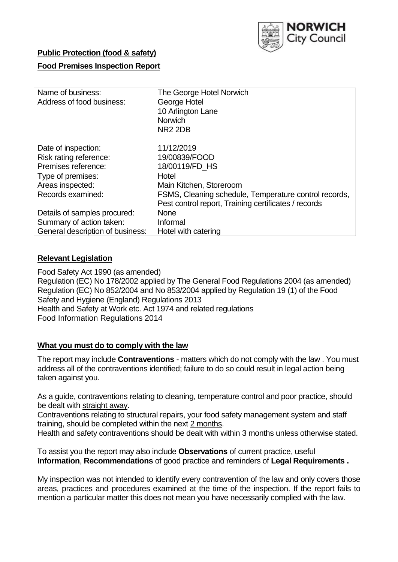

# **Public Protection (food & safety)**

## **Food Premises Inspection Report**

| Name of business:<br>Address of food business: | The George Hotel Norwich<br>George Hotel<br>10 Arlington Lane<br><b>Norwich</b><br>NR <sub>2</sub> 2DB |
|------------------------------------------------|--------------------------------------------------------------------------------------------------------|
| Date of inspection:                            | 11/12/2019                                                                                             |
| Risk rating reference:                         | 19/00839/FOOD                                                                                          |
| Premises reference:                            | 18/00119/FD HS                                                                                         |
| Type of premises:                              | Hotel                                                                                                  |
| Areas inspected:                               | Main Kitchen, Storeroom                                                                                |
| Records examined:                              | FSMS, Cleaning schedule, Temperature control records,                                                  |
|                                                | Pest control report, Training certificates / records                                                   |
| Details of samples procured:                   | <b>None</b>                                                                                            |
| Summary of action taken:                       | Informal                                                                                               |
| General description of business:               | Hotel with catering                                                                                    |

### **Relevant Legislation**

Food Safety Act 1990 (as amended) Regulation (EC) No 178/2002 applied by The General Food Regulations 2004 (as amended) Regulation (EC) No 852/2004 and No 853/2004 applied by Regulation 19 (1) of the Food Safety and Hygiene (England) Regulations 2013 Health and Safety at Work etc. Act 1974 and related regulations Food Information Regulations 2014

#### **What you must do to comply with the law**

The report may include **Contraventions** - matters which do not comply with the law . You must address all of the contraventions identified; failure to do so could result in legal action being taken against you.

As a guide, contraventions relating to cleaning, temperature control and poor practice, should be dealt with straight away.

Contraventions relating to structural repairs, your food safety management system and staff training, should be completed within the next 2 months.

Health and safety contraventions should be dealt with within 3 months unless otherwise stated.

To assist you the report may also include **Observations** of current practice, useful **Information**, **Recommendations** of good practice and reminders of **Legal Requirements .**

My inspection was not intended to identify every contravention of the law and only covers those areas, practices and procedures examined at the time of the inspection. If the report fails to mention a particular matter this does not mean you have necessarily complied with the law.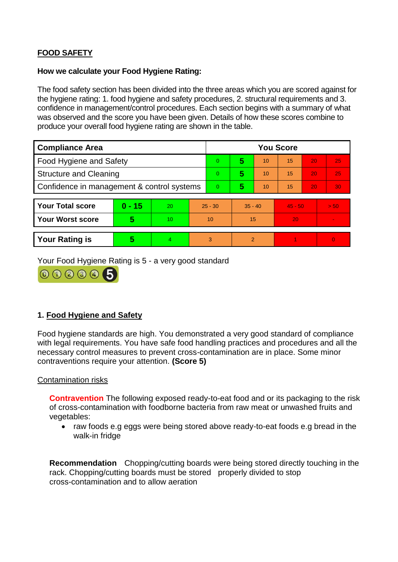# **FOOD SAFETY**

### **How we calculate your Food Hygiene Rating:**

The food safety section has been divided into the three areas which you are scored against for the hygiene rating: 1. food hygiene and safety procedures, 2. structural requirements and 3. confidence in management/control procedures. Each section begins with a summary of what was observed and the score you have been given. Details of how these scores combine to produce your overall food hygiene rating are shown in the table.

| <b>Compliance Area</b>                     |          |    |                | <b>You Score</b> |                |    |           |    |                |  |  |
|--------------------------------------------|----------|----|----------------|------------------|----------------|----|-----------|----|----------------|--|--|
| Food Hygiene and Safety                    |          |    |                | $\Omega$         | 5              | 10 | 15        | 20 | 25             |  |  |
| <b>Structure and Cleaning</b>              |          |    | $\overline{0}$ | 5                | 10             | 15 | 20        | 25 |                |  |  |
| Confidence in management & control systems |          |    | $\Omega$       | 5                | 10             | 15 | 20        | 30 |                |  |  |
|                                            |          |    |                |                  |                |    |           |    |                |  |  |
| <b>Your Total score</b>                    | $0 - 15$ | 20 | $25 - 30$      |                  | $35 - 40$      |    | $45 - 50$ |    | > 50           |  |  |
| <b>Your Worst score</b>                    | 5        | 10 | 10             |                  | 15             |    | 20        |    | $\blacksquare$ |  |  |
|                                            |          |    |                |                  |                |    |           |    |                |  |  |
| <b>Your Rating is</b>                      | 5        | 4  | 3              |                  | $\overline{2}$ |    |           |    | $\Omega$       |  |  |

Your Food Hygiene Rating is 5 - a very good standard



# **1. Food Hygiene and Safety**

Food hygiene standards are high. You demonstrated a very good standard of compliance with legal requirements. You have safe food handling practices and procedures and all the necessary control measures to prevent cross-contamination are in place. Some minor contraventions require your attention. **(Score 5)**

### Contamination risks

**Contravention** The following exposed ready-to-eat food and or its packaging to the risk of cross-contamination with foodborne bacteria from raw meat or unwashed fruits and vegetables:

• raw foods e.g eggs were being stored above ready-to-eat foods e.g bread in the walk-in fridge

**Recommendation** Chopping/cutting boards were being stored directly touching in the rack. Chopping/cutting boards must be stored properly divided to stop cross-contamination and to allow aeration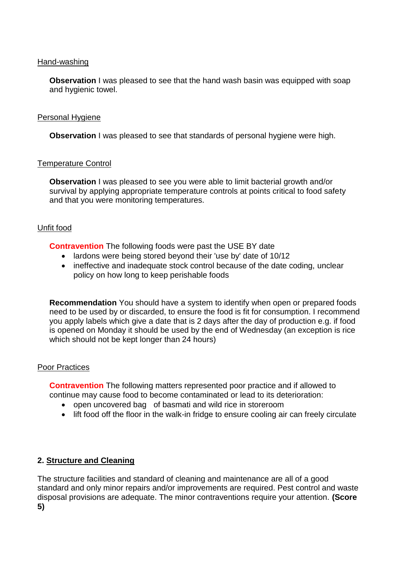### Hand-washing

**Observation** I was pleased to see that the hand wash basin was equipped with soap and hygienic towel.

### Personal Hygiene

**Observation** I was pleased to see that standards of personal hygiene were high.

### Temperature Control

**Observation I** was pleased to see you were able to limit bacterial growth and/or survival by applying appropriate temperature controls at points critical to food safety and that you were monitoring temperatures.

### Unfit food

**Contravention** The following foods were past the USE BY date

- lardons were being stored beyond their 'use by' date of 10/12
- ineffective and inadequate stock control because of the date coding, unclear policy on how long to keep perishable foods

**Recommendation** You should have a system to identify when open or prepared foods need to be used by or discarded, to ensure the food is fit for consumption. I recommend you apply labels which give a date that is 2 days after the day of production e.g. if food is opened on Monday it should be used by the end of Wednesday (an exception is rice which should not be kept longer than 24 hours)

#### Poor Practices

**Contravention** The following matters represented poor practice and if allowed to continue may cause food to become contaminated or lead to its deterioration:

- open uncovered bag of basmati and wild rice in storeroom
- lift food off the floor in the walk-in fridge to ensure cooling air can freely circulate

### **2. Structure and Cleaning**

The structure facilities and standard of cleaning and maintenance are all of a good standard and only minor repairs and/or improvements are required. Pest control and waste disposal provisions are adequate. The minor contraventions require your attention. **(Score 5)**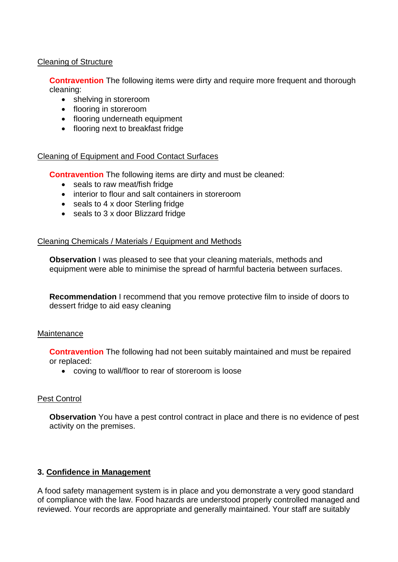## Cleaning of Structure

**Contravention** The following items were dirty and require more frequent and thorough cleaning:

- shelving in storeroom
- flooring in storeroom
- flooring underneath equipment
- flooring next to breakfast fridge

### Cleaning of Equipment and Food Contact Surfaces

**Contravention** The following items are dirty and must be cleaned:

- seals to raw meat/fish fridge
- interior to flour and salt containers in storeroom
- seals to 4 x door Sterling fridge
- seals to 3 x door Blizzard fridge

### Cleaning Chemicals / Materials / Equipment and Methods

**Observation** I was pleased to see that your cleaning materials, methods and equipment were able to minimise the spread of harmful bacteria between surfaces.

**Recommendation** I recommend that you remove protective film to inside of doors to dessert fridge to aid easy cleaning

### **Maintenance**

**Contravention** The following had not been suitably maintained and must be repaired or replaced:

coving to wall/floor to rear of storeroom is loose

### Pest Control

**Observation** You have a pest control contract in place and there is no evidence of pest activity on the premises.

### **3. Confidence in Management**

A food safety management system is in place and you demonstrate a very good standard of compliance with the law. Food hazards are understood properly controlled managed and reviewed. Your records are appropriate and generally maintained. Your staff are suitably